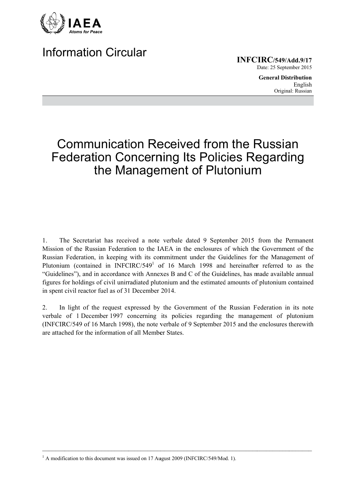

## **Information Circular**

**INFCIRC/549/Add.9/17** Date: 25 September 2015

> **General Distribution** English Original: Russian

# **Communication Received from the Russian Federation Concerning Its Policies Regarding** the Management of Plutonium

The Secretariat has received a note verbale dated 9 September 2015 from the Permanent  $1<sub>1</sub>$ Mission of the Russian Federation to the IAEA in the enclosures of which the Government of the Russian Federation, in keeping with its commitment under the Guidelines for the Management of Plutonium (contained in INFCIRC/549<sup>1</sup> of 16 March 1998 and hereinafter referred to as the "Guidelines"), and in accordance with Annexes B and C of the Guidelines, has made available annual figures for holdings of civil unirradiated plutonium and the estimated amounts of plutonium contained in spent civil reactor fuel as of 31 December 2014.

In light of the request expressed by the Government of the Russian Federation in its note  $2_{\cdot}$ verbale of 1 December 1997 concerning its policies regarding the management of plutonium (INFCIRC/549 of 16 March 1998), the note verbale of 9 September 2015 and the enclosures therewith are attached for the information of all Member States

<sup>&</sup>lt;sup>1</sup> A modification to this document was issued on 17 August 2009 (INFCIRC/549/Mod. 1).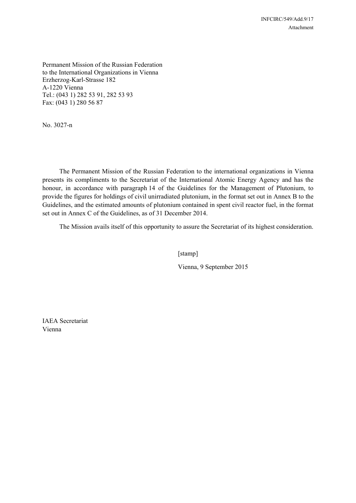Permanent Mission of the Russian Federation to the International Organizations in Vienna Erzherzog-Karl-Strasse 182 A-1220 Vienna Tel.: (043 1) 282 53 91, 282 53 93 Fах: (043 1) 280 56 87

No. 3027-n

 The Permanent Mission of the Russian Federation to the international organizations in Vienna presents its compliments to the Secretariat of the International Atomic Energy Agency and has the honour, in accordance with paragraph 14 of the Guidelines for the Management of Plutonium, to provide the figures for holdings of civil unirradiated plutonium, in the format set out in Annex B to the Guidelines, and the estimated amounts of plutonium contained in spent civil reactor fuel, in the format set out in Annex C of the Guidelines, as of 31 December 2014.

The Mission avails itself of this opportunity to assure the Secretariat of its highest consideration.

[stamp]

Vienna, 9 September 2015

IAEA Secretariat Vienna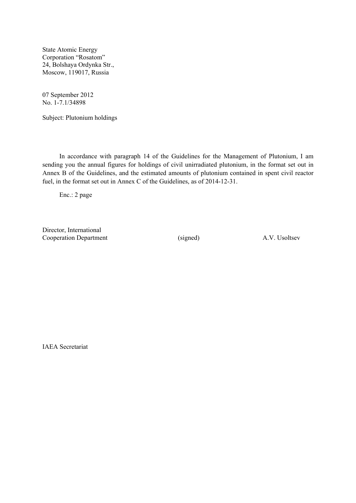State Atomic Energy Corporation "Rosatom" 24, Bolshaya Ordynka Str., Moscow, 119017, Russia

07 September 2012 No. 1-7.1/34898

Subject: Plutonium holdings

 In accordance with paragraph 14 of the Guidelines for the Management of Plutonium, I am sending you the annual figures for holdings of civil unirradiated plutonium, in the format set out in Annex B of the Guidelines, and the estimated amounts of plutonium contained in spent civil reactor fuel, in the format set out in Annex C of the Guidelines, as of 2014-12-31.

Enc.: 2 page

Director, International Cooperation Department (signed) A.V. Usoltsev

IAEA Secretariat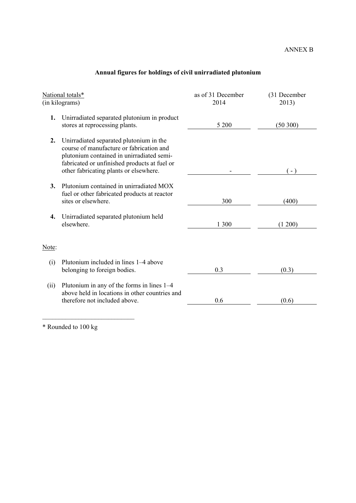| National totals*<br>(in kilograms) |                                                                                                                                                                                                                            | as of 31 December<br>2014 | (31 December<br>2013) |
|------------------------------------|----------------------------------------------------------------------------------------------------------------------------------------------------------------------------------------------------------------------------|---------------------------|-----------------------|
| 1.                                 | Unirradiated separated plutonium in product<br>stores at reprocessing plants.                                                                                                                                              | 5 200                     | (50300)               |
| 2.                                 | Unirradiated separated plutonium in the<br>course of manufacture or fabrication and<br>plutonium contained in unirradiated semi-<br>fabricated or unfinished products at fuel or<br>other fabricating plants or elsewhere. |                           | $(-)$                 |
| 3.                                 | Plutonium contained in unirradiated MOX<br>fuel or other fabricated products at reactor<br>sites or elsewhere.                                                                                                             | 300                       | (400)                 |
| 4.                                 | Unirradiated separated plutonium held<br>elsewhere.                                                                                                                                                                        | 1 300                     | (1 200)               |
| Note:                              |                                                                                                                                                                                                                            |                           |                       |
| (i)                                | Plutonium included in lines 1–4 above<br>belonging to foreign bodies.                                                                                                                                                      | 0.3                       | (0.3)                 |
| (ii)                               | Plutonium in any of the forms in lines $1-4$<br>above held in locations in other countries and<br>therefore not included above.                                                                                            | 0.6                       | (0.6)                 |

## **Annual figures for holdings of civil unirradiated plutonium**

\* Rounded to 100 kg

 $\mathcal{L}_\text{max}$